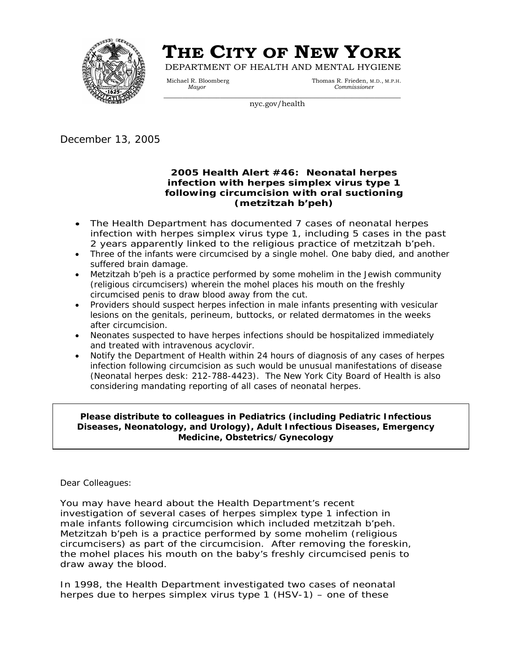

# **THE CITY OF NEW YORK** DEPARTMENT OF HEALTH AND MENTAL HYGIENE

Michael R. Bloomberg Thomas R. Frieden, M.D., M.P.H.  *Mayor Commissioner* 

nyc.gov/health

December 13, 2005

### **2005 Health Alert #46: Neonatal herpes infection with herpes simplex virus type 1 following circumcision with oral suctioning (metzitzah b'peh)**

- The Health Department has documented 7 cases of neonatal herpes infection with herpes simplex virus type 1, including 5 cases in the past 2 years apparently linked to the religious practice of metzitzah b'peh.
- Three of the infants were circumcised by a single mohel. One baby died, and another suffered brain damage.
- *Metzitzah b'peh* is a practice performed by some mohelim in the Jewish community (religious circumcisers) wherein the mohel places his mouth on the freshly circumcised penis to draw blood away from the cut*.*
- Providers should suspect herpes infection in male infants presenting with vesicular lesions on the genitals, perineum, buttocks, or related dermatomes in the weeks after circumcision.
- Neonates suspected to have herpes infections should be hospitalized immediately and treated with intravenous acyclovir.
- Notify the Department of Health within 24 hours of diagnosis of any cases of herpes infection following circumcision as such would be unusual manifestations of disease (Neonatal herpes desk: 212-788-4423). The New York City Board of Health is also considering mandating reporting of all cases of neonatal herpes.

**Please distribute to colleagues in Pediatrics (including Pediatric Infectious Diseases, Neonatology, and Urology), Adult Infectious Diseases, Emergency Medicine, Obstetrics/Gynecology** 

Dear Colleagues:

You may have heard about the Health Department's recent investigation of several cases of herpes simplex type 1 infection in male infants following circumcision which included metzitzah b'peh. Metzitzah b'peh is a practice performed by some mohelim (religious circumcisers) as part of the circumcision. After removing the foreskin, the mohel places his mouth on the baby's freshly circumcised penis to draw away the blood.

In 1998, the Health Department investigated two cases of neonatal herpes due to herpes simplex virus type 1 (HSV-1) – one of these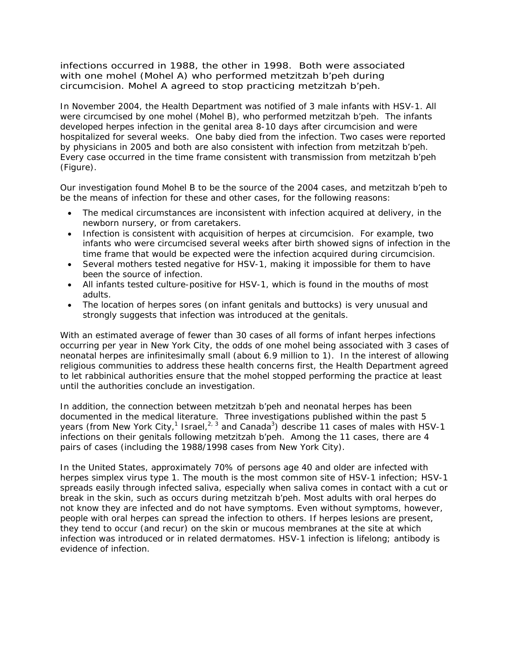infections occurred in 1988, the other in 1998. Both were associated with one mohel (Mohel A) who performed metzitzah b'peh during circumcision. Mohel A agreed to stop practicing metzitzah b'peh.

In November 2004, the Health Department was notified of 3 male infants with HSV-1. All were circumcised by one mohel (Mohel B), who performed *metzitzah b'peh.* The infants developed herpes infection in the genital area 8-10 days after circumcision and were hospitalized for several weeks. One baby died from the infection. Two cases were reported by physicians in 2005 and both are also consistent with infection from *metzitzah b'peh*. Every case occurred in the time frame consistent with transmission from *metzitzah b'peh*  (Figure)*.*

Our investigation found Mohel B to be the source of the 2004 cases, and *metzitzah b'peh* to be the means of infection for these and other cases, for the following reasons:

- The medical circumstances are inconsistent with infection acquired at delivery, in the newborn nursery, or from caretakers.
- Infection is consistent with acquisition of herpes at circumcision. For example, two infants who were circumcised several weeks after birth showed signs of infection in the time frame that would be expected were the infection acquired during circumcision.
- Several mothers tested negative for HSV-1, making it impossible for them to have been the source of infection.
- All infants tested culture-positive for HSV-1, which is found in the mouths of most adults.
- The location of herpes sores (on infant genitals and buttocks) is very unusual and strongly suggests that infection was introduced at the genitals.

With an estimated average of fewer than 30 cases of all forms of infant herpes infections occurring per year in New York City, the odds of one mohel being associated with 3 cases of neonatal herpes are infinitesimally small (about 6.9 million to 1). In the interest of allowing religious communities to address these health concerns first, the Health Department agreed to let rabbinical authorities ensure that the mohel stopped performing the practice at least until the authorities conclude an investigation.

In addition, the connection between *metzitzah b'peh* and neonatal herpes has been documented in the medical literature. Three investigations published within the past 5 years (from New York City,<sup>1</sup> Israel,<sup>2, 3</sup> and Canada<sup>3</sup>) describe 11 cases of males with HSV-1 infections on their genitals following *metzitzah b'peh*. Among the 11 cases, there are 4 pairs of cases (including the 1988/1998 cases from New York City).

In the United States, approximately 70% of persons age 40 and older are infected with herpes simplex virus type 1. The mouth is the most common site of HSV-1 infection; HSV-1 spreads easily through infected saliva, especially when saliva comes in contact with a cut or break in the skin, such as occurs during *metzitzah b'peh.* Most adults with oral herpes do not know they are infected and do not have symptoms. Even without symptoms, however, people with oral herpes can spread the infection to others. If herpes lesions are present, they tend to occur (and recur) on the skin or mucous membranes at the site at which infection was introduced or in related dermatomes. HSV-1 infection is lifelong; antibody is evidence of infection.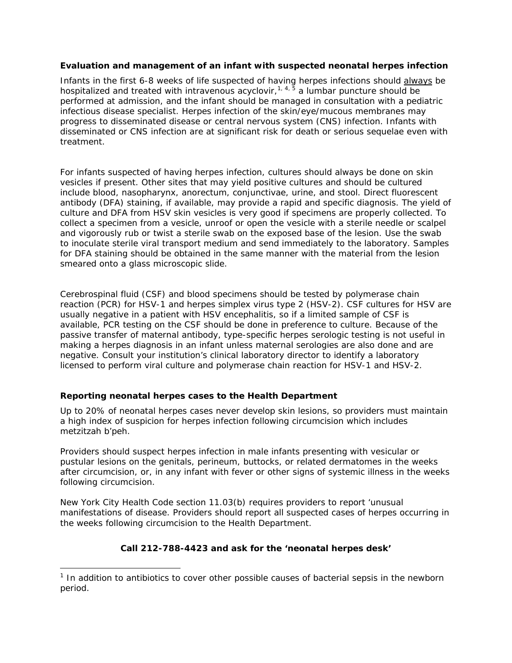### **Evaluation and management of an infant with suspected neonatal herpes infection**

Infants in the first 6-8 weeks of life suspected of having herpes infections should always be hospitalized and treated with intravenous acyclovir,  $1, 4, 5$  $1, 4, 5$  a lumbar puncture should be performed at admission, and the infant should be managed in consultation with a pediatric infectious disease specialist. Herpes infection of the skin/eye/mucous membranes may progress to disseminated disease or central nervous system (CNS) infection. Infants with disseminated or CNS infection are at significant risk for death or serious sequelae even with treatment.

For infants suspected of having herpes infection, cultures should always be done on skin vesicles if present. Other sites that may yield positive cultures and should be cultured include blood, nasopharynx, anorectum, conjunctivae, urine, and stool. Direct fluorescent antibody (DFA) staining, if available, may provide a rapid and specific diagnosis. The yield of culture and DFA from HSV skin vesicles is very good if specimens are properly collected. To collect a specimen from a vesicle, unroof or open the vesicle with a sterile needle or scalpel and vigorously rub or twist a sterile swab on the exposed base of the lesion. Use the swab to inoculate sterile viral transport medium and send immediately to the laboratory. Samples for DFA staining should be obtained in the same manner with the material from the lesion smeared onto a glass microscopic slide.

Cerebrospinal fluid (CSF) and blood specimens should be tested by polymerase chain reaction (PCR) for HSV-1 and herpes simplex virus type 2 (HSV-2). CSF cultures for HSV are usually negative in a patient with HSV encephalitis, so if a limited sample of CSF is available, PCR testing on the CSF should be done in preference to culture. Because of the passive transfer of maternal antibody, type-specific herpes serologic testing is not useful in making a herpes diagnosis in an infant unless maternal serologies are also done and are negative. Consult your institution's clinical laboratory director to identify a laboratory licensed to perform viral culture and polymerase chain reaction for HSV-1 and HSV-2.

## **Reporting neonatal herpes cases to the Health Department**

 $\overline{a}$ 

Up to 20% of neonatal herpes cases never develop skin lesions, so providers must maintain a high index of suspicion for herpes infection following circumcision which includes *metzitzah b'peh.*

Providers should suspect herpes infection in male infants presenting with vesicular or pustular lesions on the genitals, perineum, buttocks, or related dermatomes in the weeks after circumcision, or, in any infant with fever or other signs of systemic illness in the weeks following circumcision.

New York City Health Code section 11.03(b) requires providers to report 'unusual manifestations of disease. Providers should report all suspected cases of herpes occurring in the weeks following circumcision to the Health Department.

## **Call 212-788-4423 and ask for the 'neonatal herpes desk'**

<span id="page-2-0"></span><sup>&</sup>lt;sup>1</sup> In addition to antibiotics to cover other possible causes of bacterial sepsis in the newborn period.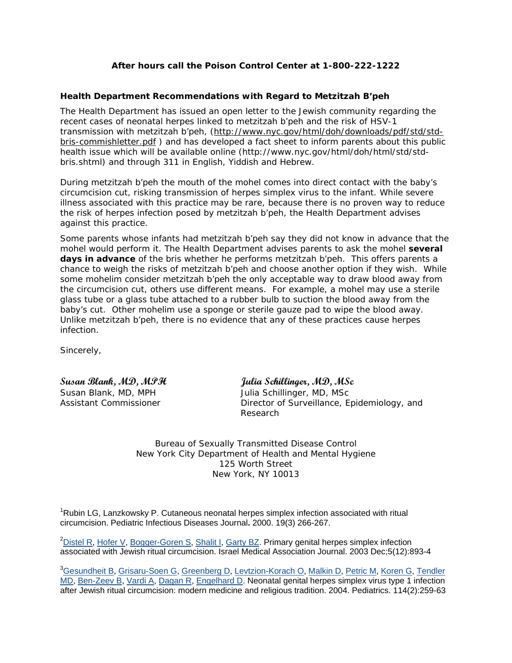## **After hours call the Poison Control Center at 1-800-222-1222**

### **Health Department Recommendations with Regard to** *Metzitzah B'peh*

The Health Department has issued an open letter to the Jewish community regarding the recent cases of neonatal herpes linked to metzitzah b'peh and the risk of HSV-1 transmission with metzitzah b'peh, (http://www.nyc.gov/html/doh/downloads/pdf/std/stdbris-commishletter.pdf ) and has developed a fact sheet to inform parents about this public health issue which will be available online (http://www.nyc.gov/html/doh/html/std/stdbris.shtml) and through 311 in English, Yiddish and Hebrew.

During *metzitzah b'peh* the mouth of the mohel comes into direct contact with the baby's circumcision cut, risking transmission of herpes simplex virus to the infant. While severe illness associated with this practice may be rare, because there is no proven way to reduce the risk of herpes infection posed by *metzitzah b'peh*, the Health Department advises against this practice*.*

Some parents whose infants had *metzitzah b'peh* say they did not know in advance that the mohel would perform it. The Health Department advises parents to ask the mohel **several days in advance** of the bris whether he performs *metzitzah b'peh.* This offers parents a chance to weigh the risks of *metzitzah b'peh* and choose another option if they wish. While some mohelim consider *metzitzah b'peh* the only acceptable way to draw blood away from the circumcision cut, others use different means. For example, a mohel may use a sterile glass tube or a glass tube attached to a rubber bulb to suction the blood away from the baby's cut. Other mohelim use a sponge or sterile gauze pad to wipe the blood away. Unlike *metzitzah b'peh,* there is no evidence that any of these practices cause herpes infection.

Sincerely,

**Susan Blank, MD, MPH Julia Schillinger, MD, MSc** Susan Blank, MD, MPH Julia Schillinger, MD, MSc Assistant Commissioner **Director of Surveillance, Epidemiology**, and Research

> Bureau of Sexually Transmitted Disease Control New York City Department of Health and Mental Hygiene 125 Worth Street New York, NY 10013

<sup>1</sup>Rubin LG, Lanzkowsky P. Cutaneous neonatal herpes simplex infection associated with ritual circumcision. Pediatric Infectious Diseases Journal**.** 2000. 19(3) 266-267.

<sup>2</sup>[Distel R,](http://www.ncbi.nlm.nih.gov/entrez/query.fcgi?db=pubmed&cmd=Search&term=%22Distel+R%22%5BAuthor%5D) [Hofer V](http://www.ncbi.nlm.nih.gov/entrez/query.fcgi?db=pubmed&cmd=Search&term=%22Hofer+V%22%5BAuthor%5D), [Bogger-Goren S](http://www.ncbi.nlm.nih.gov/entrez/query.fcgi?db=pubmed&cmd=Search&term=%22Bogger%2DGoren+S%22%5BAuthor%5D), [Shalit I,](http://www.ncbi.nlm.nih.gov/entrez/query.fcgi?db=pubmed&cmd=Search&term=%22Shalit+I%22%5BAuthor%5D) [Garty BZ](http://www.ncbi.nlm.nih.gov/entrez/query.fcgi?db=pubmed&cmd=Search&term=%22Garty+BZ%22%5BAuthor%5D). Primary genital herpes simplex infection associated with Jewish ritual circumcision. Israel Medical Association Journal. 2003 Dec;5(12):893-4

<sup>3</sup>[Gesundheit B](http://www.ncbi.nlm.nih.gov/entrez/query.fcgi?db=pubmed&cmd=Search&term=%22Gesundheit+B%22%5BAuthor%5D), [Grisaru-Soen G,](http://www.ncbi.nlm.nih.gov/entrez/query.fcgi?db=pubmed&cmd=Search&term=%22Grisaru%2DSoen+G%22%5BAuthor%5D) [Greenberg D](http://www.ncbi.nlm.nih.gov/entrez/query.fcgi?db=pubmed&cmd=Search&term=%22Greenberg+D%22%5BAuthor%5D), [Levtzion-Korach O,](http://www.ncbi.nlm.nih.gov/entrez/query.fcgi?db=pubmed&cmd=Search&term=%22Levtzion%2DKorach+O%22%5BAuthor%5D) [Malkin D](http://www.ncbi.nlm.nih.gov/entrez/query.fcgi?db=pubmed&cmd=Search&term=%22Malkin+D%22%5BAuthor%5D), [Petric M](http://www.ncbi.nlm.nih.gov/entrez/query.fcgi?db=pubmed&cmd=Search&term=%22Petric+M%22%5BAuthor%5D), [Koren G](http://www.ncbi.nlm.nih.gov/entrez/query.fcgi?db=pubmed&cmd=Search&term=%22Koren+G%22%5BAuthor%5D), Tendler [MD,](http://www.ncbi.nlm.nih.gov/entrez/query.fcgi?db=pubmed&cmd=Search&term=%22Tendler+MD%22%5BAuthor%5D) [Ben-Zeev B,](http://www.ncbi.nlm.nih.gov/entrez/query.fcgi?db=pubmed&cmd=Search&term=%22Ben%2DZeev+B%22%5BAuthor%5D) [Vardi A](http://www.ncbi.nlm.nih.gov/entrez/query.fcgi?db=pubmed&cmd=Search&term=%22Vardi+A%22%5BAuthor%5D), [Dagan R](http://www.ncbi.nlm.nih.gov/entrez/query.fcgi?db=pubmed&cmd=Search&term=%22Dagan+R%22%5BAuthor%5D), [Engelhard D](http://www.ncbi.nlm.nih.gov/entrez/query.fcgi?db=pubmed&cmd=Search&term=%22Engelhard+D%22%5BAuthor%5D). Neonatal genital herpes simplex virus type 1 infection after Jewish ritual circumcision: modern medicine and religious tradition. 2004. Pediatrics. 114(2):259-63